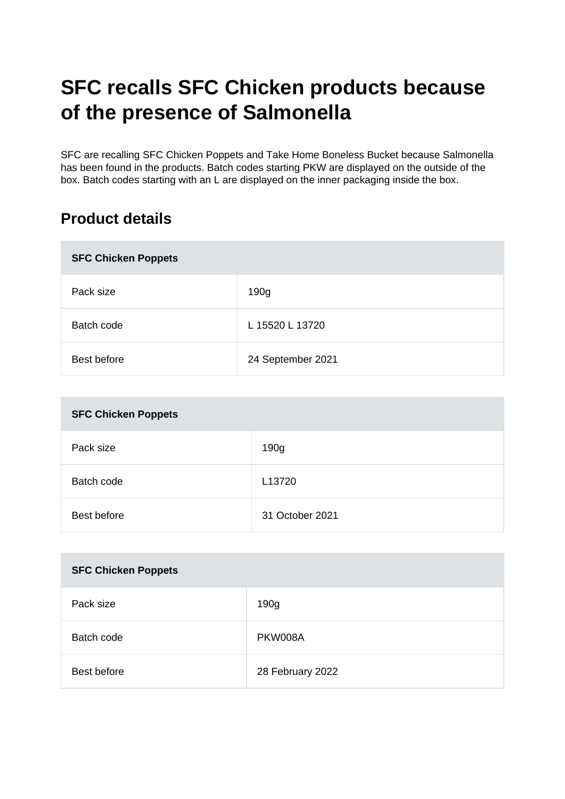# **SFC recalls SFC Chicken products because of the presence of Salmonella**

SFC are recalling SFC Chicken Poppets and Take Home Boneless Bucket because Salmonella has been found in the products. Batch codes starting PKW are displayed on the outside of the box. Batch codes starting with an L are displayed on the inner packaging inside the box.

# **Product details**

| <b>SFC Chicken Poppets</b> |                   |  |
|----------------------------|-------------------|--|
| Pack size                  | 190g              |  |
| Batch code                 | L 15520 L 13720   |  |
| Best before                | 24 September 2021 |  |

| <b>SFC Chicken Poppets</b> |                 |  |
|----------------------------|-----------------|--|
| Pack size                  | 190g            |  |
| Batch code                 | L13720          |  |
| Best before                | 31 October 2021 |  |

| <b>SFC Chicken Poppets</b> |                  |
|----------------------------|------------------|
| Pack size                  | 190g             |
| Batch code                 | PKW008A          |
| Best before                | 28 February 2022 |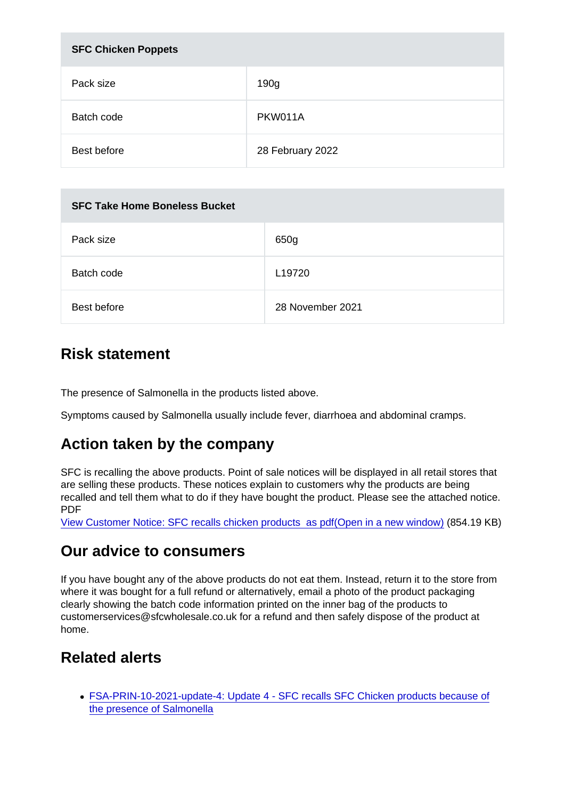| <b>SFC Chicken Poppets</b> |                  |
|----------------------------|------------------|
| Pack size                  | 190 <sub>g</sub> |
| Batch code                 | PKW011A          |
| Best before                | 28 February 2022 |

| <b>SFC Take Home Boneless Bucket</b> |                  |  |
|--------------------------------------|------------------|--|
| Pack size                            | 650g             |  |
| Batch code                           | L19720           |  |
| Best before                          | 28 November 2021 |  |

## Risk statement

The presence of Salmonella in the products listed above.

Symptoms caused by Salmonella usually include fever, diarrhoea and abdominal cramps.

## Action taken by the company

SFC is recalling the above products. Point of sale notices will be displayed in all retail stores that are selling these products. These notices explain to customers why the products are being recalled and tell them what to do if they have bought the product. Please see the attached notice. PDF

[View Customer Notice: SFC recalls chicken products as pdf\(Open in a new window\)](https://s3-eu-west-1.amazonaws.com/fsa-alerts-files/production/FSA-PRIN-10-2021-update-1/FSA-PRIN-10-2021-Update-1-SFC-recalls-SFC-Chicken-products-because-of-the-presence-of-Salmonella.pdf) (854.19 KB)

## Our advice to consumers

If you have bought any of the above products do not eat them. Instead, return it to the store from where it was bought for a full refund or alternatively, email a photo of the product packaging clearly showing the batch code information printed on the inner bag of the products to customerservices@sfcwholesale.co.uk for a refund and then safely dispose of the product at home.

## Related alerts

[FSA-PRIN-10-2021-update-4: Update 4 - SFC recalls SFC Chicken products because of](https://www.food.gov.uk/cy/news-alerts/alert/fsa-prin-10-2021-update-4) [the presence of Salmonella](https://www.food.gov.uk/cy/news-alerts/alert/fsa-prin-10-2021-update-4)